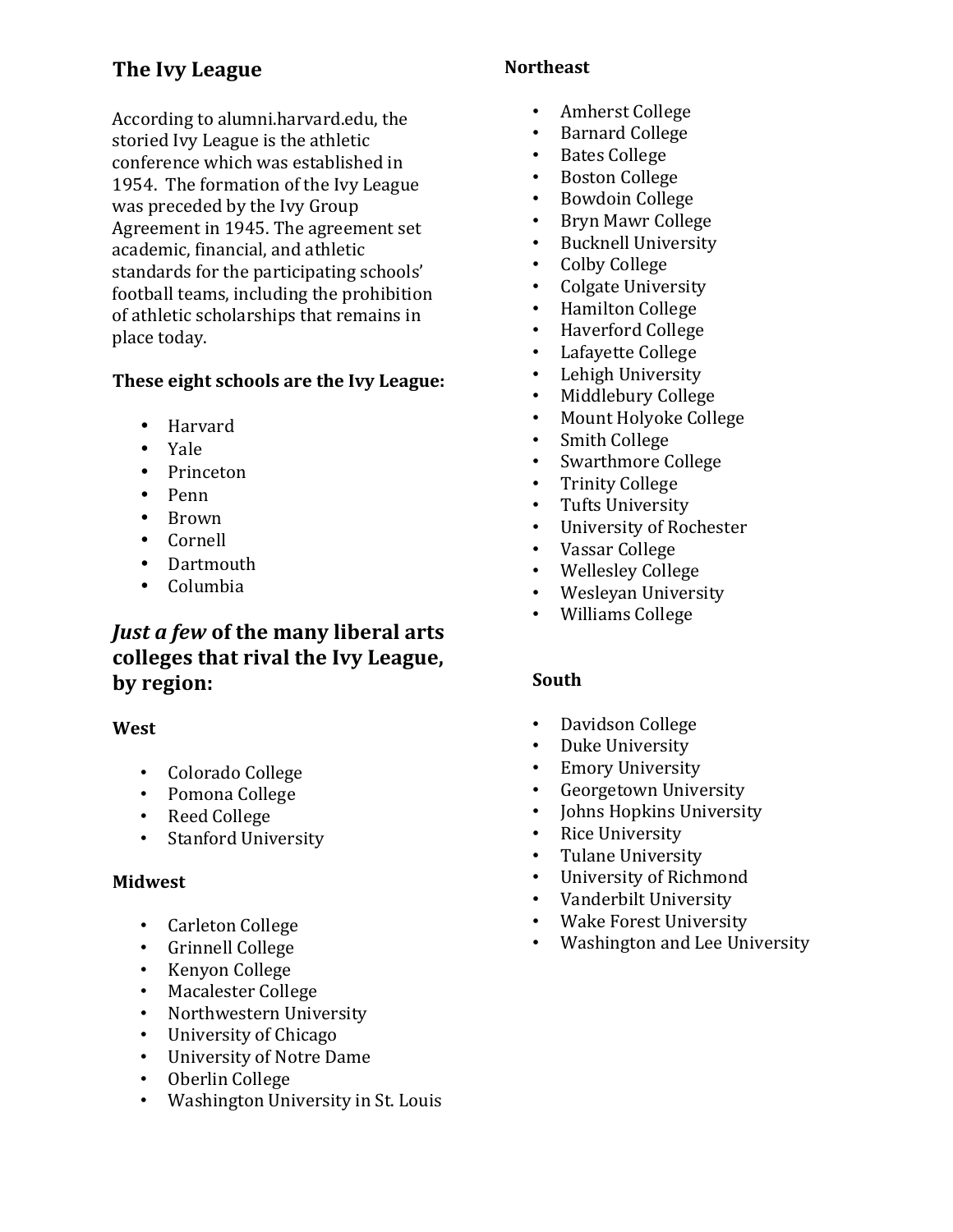# **The Ivy League**

According to alumni.harvard.edu, the storied Ivy League is the athletic conference which was established in 1954. The formation of the Ivy League was preceded by the Ivy Group Agreement in 1945. The agreement set academic, financial, and athletic standards for the participating schools' football teams, including the prohibition of athletic scholarships that remains in place today.

### **These eight schools are the Ivy League:**

- Harvard
- Yale
- Princeton
- Penn
- Brown
- Cornell
- Dartmouth
- Columbia

## *Just a few of the many liberal arts* colleges that rival the Ivy League, **by region:**

### **West**

- Colorado College
- Pomona College
- Reed College
- Stanford University

### **Midwest**

- Carleton College
- Grinnell College
- Kenyon College
- Macalester College
- Northwestern University
- University of Chicago
- University of Notre Dame
- Oberlin College
- Washington University in St. Louis

### **Northeast**

- Amherst College
- Barnard College
- Bates College
- Boston College
- Bowdoin College
- Bryn Mawr College
- Bucknell University
- Colby College
- Colgate University
- Hamilton College
- Haverford College
- Lafayette College
- Lehigh University
- Middlebury College
- Mount Holyoke College
- Smith College
- Swarthmore College
- Trinity College
- Tufts University
- University of Rochester
- Vassar College
- Wellesley College
- Wesleyan University
- Williams College

### **South**

- Davidson College
- Duke University
- Emory University
- Georgetown University
- Johns Hopkins University
- Rice University
- Tulane University
- University of Richmond
- Vanderbilt University
- Wake Forest University
- Washington and Lee University